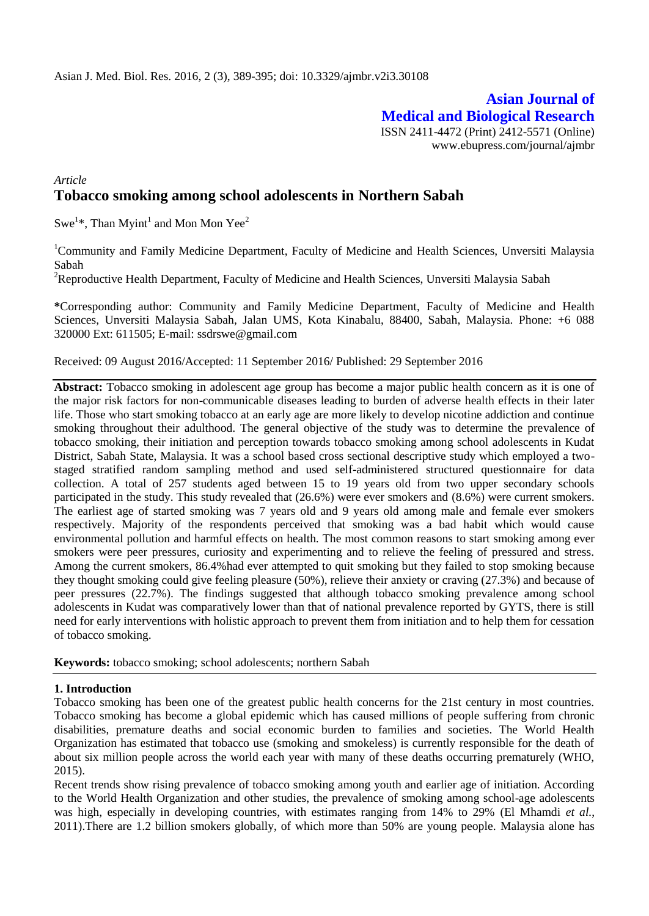**Asian Journal of Medical and Biological Research** ISSN 2411-4472 (Print) 2412-5571 (Online) www.ebupress.com/journal/ajmbr

# *Article* **Tobacco smoking among school adolescents in Northern Sabah**

Swe<sup>1\*</sup>, Than Myint<sup>1</sup> and Mon Mon Yee<sup>2</sup>

<sup>1</sup>Community and Family Medicine Department, Faculty of Medicine and Health Sciences, Unversiti Malaysia Sabah

<sup>2</sup>Reproductive Health Department, Faculty of Medicine and Health Sciences, Unversiti Malaysia Sabah

**\***Corresponding author: Community and Family Medicine Department, Faculty of Medicine and Health Sciences, Unversiti Malaysia Sabah, Jalan UMS, Kota Kinabalu, 88400, Sabah, Malaysia. Phone: +6 088 320000 Ext: 611505; E-mail: ssdrswe@gmail.com

Received: 09 August 2016/Accepted: 11 September 2016/ Published: 29 September 2016

**Abstract:** Tobacco smoking in adolescent age group has become a major public health concern as it is one of the major risk factors for non-communicable diseases leading to burden of adverse health effects in their later life. Those who start smoking tobacco at an early age are more likely to develop nicotine addiction and continue smoking throughout their adulthood. The general objective of the study was to determine the prevalence of tobacco smoking, their initiation and perception towards tobacco smoking among school adolescents in Kudat District, Sabah State, Malaysia. It was a school based cross sectional descriptive study which employed a twostaged stratified random sampling method and used self-administered structured questionnaire for data collection. A total of 257 students aged between 15 to 19 years old from two upper secondary schools participated in the study. This study revealed that (26.6%) were ever smokers and (8.6%) were current smokers. The earliest age of started smoking was 7 years old and 9 years old among male and female ever smokers respectively. Majority of the respondents perceived that smoking was a bad habit which would cause environmental pollution and harmful effects on health. The most common reasons to start smoking among ever smokers were peer pressures, curiosity and experimenting and to relieve the feeling of pressured and stress. Among the current smokers, 86.4%had ever attempted to quit smoking but they failed to stop smoking because they thought smoking could give feeling pleasure (50%), relieve their anxiety or craving (27.3%) and because of peer pressures (22.7%). The findings suggested that although tobacco smoking prevalence among school adolescents in Kudat was comparatively lower than that of national prevalence reported by GYTS, there is still need for early interventions with holistic approach to prevent them from initiation and to help them for cessation of tobacco smoking.

**Keywords:** tobacco smoking; school adolescents; northern Sabah

## **1. Introduction**

Tobacco smoking has been one of the greatest public health concerns for the 21st century in most countries. Tobacco smoking has become a global epidemic which has caused millions of people suffering from chronic disabilities, premature deaths and social economic burden to families and societies. The World Health Organization has estimated that tobacco use (smoking and smokeless) is currently responsible for the death of about six million people across the world each year with many of these deaths occurring prematurely (WHO, 2015).

Recent trends show rising prevalence of tobacco smoking among youth and earlier age of initiation. According to the World Health Organization and other studies, the prevalence of smoking among school-age adolescents was high, especially in developing countries, with estimates ranging from 14% to 29% (El Mhamdi *et al.*, 2011).There are 1.2 billion smokers globally, of which more than 50% are young people. Malaysia alone has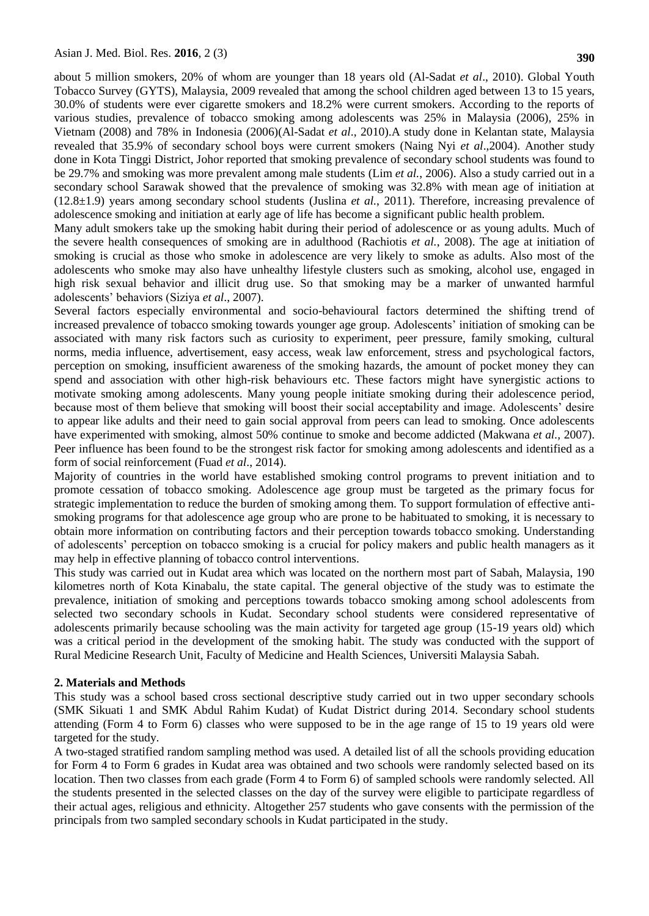about 5 million smokers, 20% of whom are younger than 18 years old (Al-Sadat *et al*., 2010). Global Youth Tobacco Survey (GYTS), Malaysia, 2009 revealed that among the school children aged between 13 to 15 years, 30.0% of students were ever cigarette smokers and 18.2% were current smokers. According to the reports of various studies, prevalence of tobacco smoking among adolescents was 25% in Malaysia (2006), 25% in Vietnam (2008) and 78% in Indonesia (2006)(Al-Sadat *et al*., 2010).A study done in Kelantan state, Malaysia revealed that 35.9% of secondary school boys were current smokers (Naing Nyi *et al*.,2004). Another study done in Kota Tinggi District, Johor reported that smoking prevalence of secondary school students was found to be 29.7% and smoking was more prevalent among male students (Lim *et al.*, 2006). Also a study carried out in a secondary school Sarawak showed that the prevalence of smoking was 32.8% with mean age of initiation at (12.8±1.9) years among secondary school students (Juslina *et al.*, 2011). Therefore, increasing prevalence of adolescence smoking and initiation at early age of life has become a significant public health problem.

Many adult smokers take up the smoking habit during their period of adolescence or as young adults. Much of the severe health consequences of smoking are in adulthood (Rachiotis *et al.*, 2008). The age at initiation of smoking is crucial as those who smoke in adolescence are very likely to smoke as adults. Also most of the adolescents who smoke may also have unhealthy lifestyle clusters such as smoking, alcohol use, engaged in high risk sexual behavior and illicit drug use. So that smoking may be a marker of unwanted harmful adolescents' behaviors (Siziya *et al*., 2007).

Several factors especially environmental and socio-behavioural factors determined the shifting trend of increased prevalence of tobacco smoking towards younger age group. Adolescents' initiation of smoking can be associated with many risk factors such as curiosity to experiment, peer pressure, family smoking, cultural norms, media influence, advertisement, easy access, weak law enforcement, stress and psychological factors, perception on smoking, insufficient awareness of the smoking hazards, the amount of pocket money they can spend and association with other high-risk behaviours etc. These factors might have synergistic actions to motivate smoking among adolescents. Many young people initiate smoking during their adolescence period, because most of them believe that smoking will boost their social acceptability and image. Adolescents' desire to appear like adults and their need to gain social approval from peers can lead to smoking. Once adolescents have experimented with smoking, almost 50% continue to smoke and become addicted (Makwana *et al.,* 2007). Peer influence has been found to be the strongest risk factor for smoking among adolescents and identified as a form of social reinforcement (Fuad *et al*., 2014).

Majority of countries in the world have established smoking control programs to prevent initiation and to promote cessation of tobacco smoking. Adolescence age group must be targeted as the primary focus for strategic implementation to reduce the burden of smoking among them. To support formulation of effective antismoking programs for that adolescence age group who are prone to be habituated to smoking, it is necessary to obtain more information on contributing factors and their perception towards tobacco smoking. Understanding of adolescents' perception on tobacco smoking is a crucial for policy makers and public health managers as it may help in effective planning of tobacco control interventions.

This study was carried out in Kudat area which was located on the northern most part of Sabah, Malaysia, 190 kilometres north of Kota Kinabalu, the state capital. The general objective of the study was to estimate the prevalence, initiation of smoking and perceptions towards tobacco smoking among school adolescents from selected two secondary schools in Kudat. Secondary school students were considered representative of adolescents primarily because schooling was the main activity for targeted age group (15-19 years old) which was a critical period in the development of the smoking habit. The study was conducted with the support of Rural Medicine Research Unit, Faculty of Medicine and Health Sciences, Universiti Malaysia Sabah.

### **2. Materials and Methods**

This study was a school based cross sectional descriptive study carried out in two upper secondary schools (SMK Sikuati 1 and SMK Abdul Rahim Kudat) of Kudat District during 2014. Secondary school students attending (Form 4 to Form 6) classes who were supposed to be in the age range of 15 to 19 years old were targeted for the study.

A two-staged stratified random sampling method was used. A detailed list of all the schools providing education for Form 4 to Form 6 grades in Kudat area was obtained and two schools were randomly selected based on its location. Then two classes from each grade (Form 4 to Form 6) of sampled schools were randomly selected. All the students presented in the selected classes on the day of the survey were eligible to participate regardless of their actual ages, religious and ethnicity. Altogether 257 students who gave consents with the permission of the principals from two sampled secondary schools in Kudat participated in the study.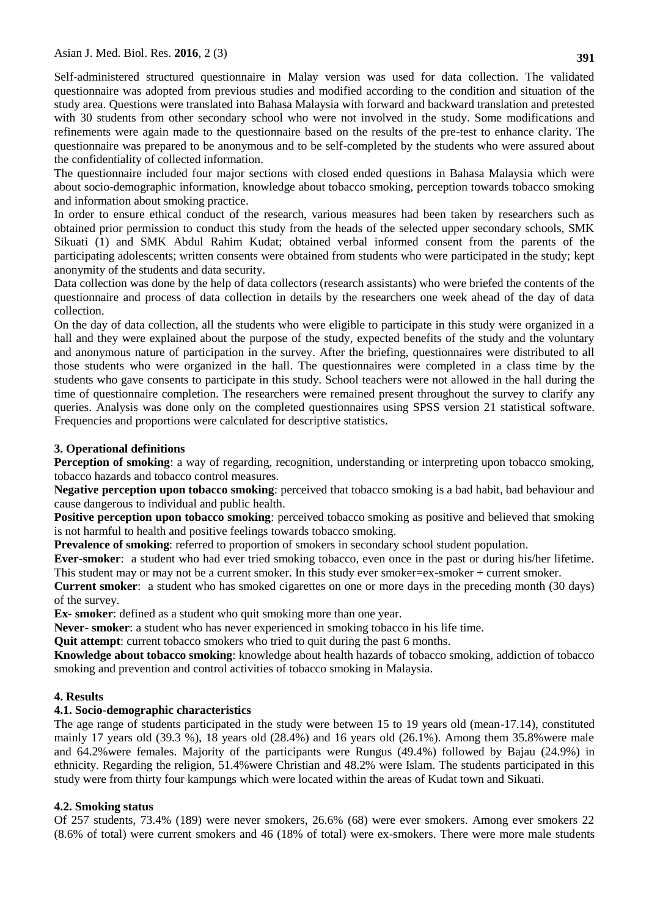Self-administered structured questionnaire in Malay version was used for data collection. The validated questionnaire was adopted from previous studies and modified according to the condition and situation of the study area. Questions were translated into Bahasa Malaysia with forward and backward translation and pretested with 30 students from other secondary school who were not involved in the study. Some modifications and refinements were again made to the questionnaire based on the results of the pre-test to enhance clarity. The questionnaire was prepared to be anonymous and to be self-completed by the students who were assured about the confidentiality of collected information.

The questionnaire included four major sections with closed ended questions in Bahasa Malaysia which were about socio-demographic information, knowledge about tobacco smoking, perception towards tobacco smoking and information about smoking practice.

In order to ensure ethical conduct of the research, various measures had been taken by researchers such as obtained prior permission to conduct this study from the heads of the selected upper secondary schools, SMK Sikuati (1) and SMK Abdul Rahim Kudat; obtained verbal informed consent from the parents of the participating adolescents; written consents were obtained from students who were participated in the study; kept anonymity of the students and data security.

Data collection was done by the help of data collectors (research assistants) who were briefed the contents of the questionnaire and process of data collection in details by the researchers one week ahead of the day of data collection.

On the day of data collection, all the students who were eligible to participate in this study were organized in a hall and they were explained about the purpose of the study, expected benefits of the study and the voluntary and anonymous nature of participation in the survey. After the briefing, questionnaires were distributed to all those students who were organized in the hall. The questionnaires were completed in a class time by the students who gave consents to participate in this study. School teachers were not allowed in the hall during the time of questionnaire completion. The researchers were remained present throughout the survey to clarify any queries. Analysis was done only on the completed questionnaires using SPSS version 21 statistical software. Frequencies and proportions were calculated for descriptive statistics.

# **3. Operational definitions**

**Perception of smoking**: a way of regarding, recognition, understanding or interpreting upon tobacco smoking, tobacco hazards and tobacco control measures.

**Negative perception upon tobacco smoking**: perceived that tobacco smoking is a bad habit, bad behaviour and cause dangerous to individual and public health.

**Positive perception upon tobacco smoking**: perceived tobacco smoking as positive and believed that smoking is not harmful to health and positive feelings towards tobacco smoking.

**Prevalence of smoking**: referred to proportion of smokers in secondary school student population.

**Ever-smoker**: a student who had ever tried smoking tobacco, even once in the past or during his/her lifetime. This student may or may not be a current smoker. In this study ever smoker=ex-smoker + current smoker.

**Current smoker**: a student who has smoked cigarettes on one or more days in the preceding month (30 days) of the survey.

**Ex- smoker**: defined as a student who quit smoking more than one year.

**Never- smoker**: a student who has never experienced in smoking tobacco in his life time.

**Quit attempt**: current tobacco smokers who tried to quit during the past 6 months.

**Knowledge about tobacco smoking**: knowledge about health hazards of tobacco smoking, addiction of tobacco smoking and prevention and control activities of tobacco smoking in Malaysia.

# **4. Results**

# **4.1. Socio-demographic characteristics**

The age range of students participated in the study were between 15 to 19 years old (mean-17.14), constituted mainly 17 years old (39.3 %), 18 years old (28.4%) and 16 years old (26.1%). Among them 35.8%were male and 64.2%were females. Majority of the participants were Rungus (49.4%) followed by Bajau (24.9%) in ethnicity. Regarding the religion, 51.4%were Christian and 48.2% were Islam. The students participated in this study were from thirty four kampungs which were located within the areas of Kudat town and Sikuati.

# **4.2. Smoking status**

Of 257 students, 73.4% (189) were never smokers, 26.6% (68) were ever smokers. Among ever smokers 22 (8.6% of total) were current smokers and 46 (18% of total) were ex-smokers. There were more male students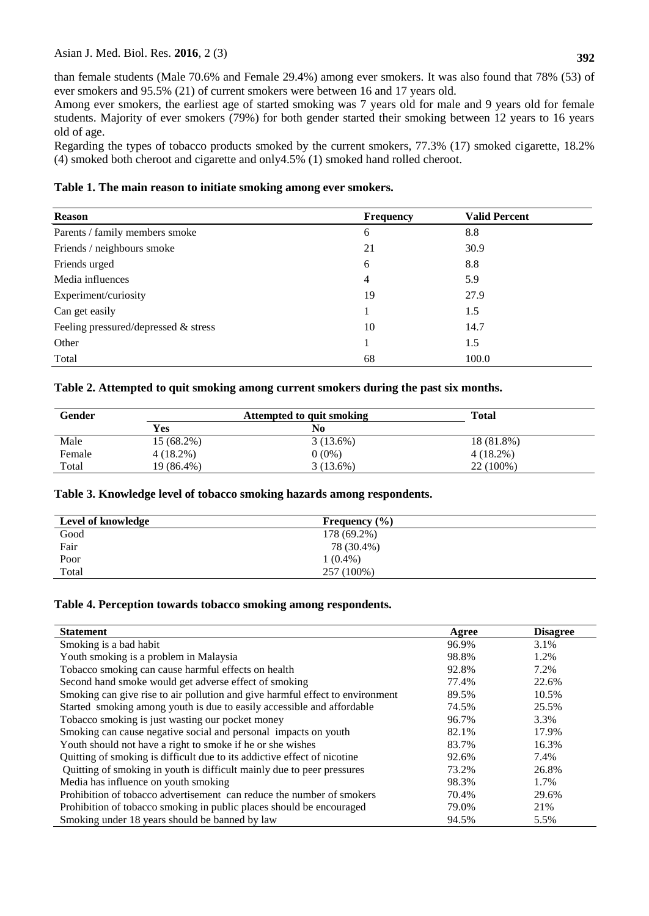than female students (Male 70.6% and Female 29.4%) among ever smokers. It was also found that 78% (53) of ever smokers and 95.5% (21) of current smokers were between 16 and 17 years old.

Among ever smokers, the earliest age of started smoking was 7 years old for male and 9 years old for female students. Majority of ever smokers (79%) for both gender started their smoking between 12 years to 16 years old of age.

Regarding the types of tobacco products smoked by the current smokers, 77.3% (17) smoked cigarette, 18.2% (4) smoked both cheroot and cigarette and only4.5% (1) smoked hand rolled cheroot.

## **Table 1. The main reason to initiate smoking among ever smokers.**

| <b>Frequency</b> | <b>Valid Percent</b> |  |
|------------------|----------------------|--|
| 6                | 8.8                  |  |
| 21               | 30.9                 |  |
| 6                | 8.8                  |  |
| 4                | 5.9                  |  |
| 19               | 27.9                 |  |
|                  | 1.5                  |  |
| 10               | 14.7                 |  |
|                  | 1.5                  |  |
| 68               | 100.0                |  |
|                  |                      |  |

## **Table 2. Attempted to quit smoking among current smokers during the past six months.**

| Gender | Attempted to quit smoking |             | <b>Total</b> |  |
|--------|---------------------------|-------------|--------------|--|
|        | <b>Yes</b>                | No          |              |  |
| Male   | 15 (68.2%)                | $3(13.6\%)$ | 18 (81.8%)   |  |
| Female | $4(18.2\%)$               | $0(0\%)$    | $4(18.2\%)$  |  |
| Total  | 19 (86.4%)                | $3(13.6\%)$ | 22 (100%)    |  |

### **Table 3. Knowledge level of tobacco smoking hazards among respondents.**

| Frequency $(\% )$ |
|-------------------|
|                   |
|                   |
|                   |
|                   |
|                   |

### **Table 4. Perception towards tobacco smoking among respondents.**

| <b>Statement</b>                                                              | Agree | <b>Disagree</b> |
|-------------------------------------------------------------------------------|-------|-----------------|
| Smoking is a bad habit                                                        | 96.9% | 3.1%            |
| Youth smoking is a problem in Malaysia                                        | 98.8% | 1.2%            |
| Tobacco smoking can cause harmful effects on health                           | 92.8% | 7.2%            |
| Second hand smoke would get adverse effect of smoking                         | 77.4% | 22.6%           |
| Smoking can give rise to air pollution and give harmful effect to environment | 89.5% | 10.5%           |
| Started smoking among youth is due to easily accessible and affordable        | 74.5% | 25.5%           |
| Tobacco smoking is just wasting our pocket money                              | 96.7% | 3.3%            |
| Smoking can cause negative social and personal impacts on youth               | 82.1% | 17.9%           |
| Youth should not have a right to smoke if he or she wishes                    | 83.7% | 16.3%           |
| Quitting of smoking is difficult due to its addictive effect of nicotine      | 92.6% | 7.4%            |
| Quitting of smoking in youth is difficult mainly due to peer pressures        | 73.2% | 26.8%           |
| Media has influence on youth smoking                                          | 98.3% | 1.7%            |
| Prohibition of tobacco advertisement can reduce the number of smokers         | 70.4% | 29.6%           |
| Prohibition of tobacco smoking in public places should be encouraged          | 79.0% | 21%             |
| Smoking under 18 years should be banned by law                                | 94.5% | 5.5%            |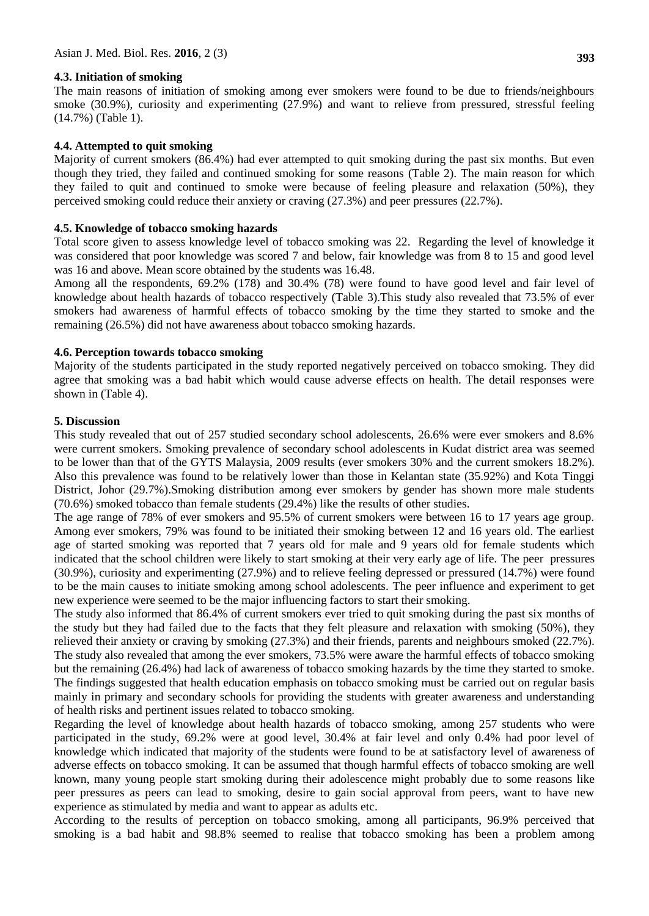### **4.3. Initiation of smoking**

The main reasons of initiation of smoking among ever smokers were found to be due to friends/neighbours smoke (30.9%), curiosity and experimenting (27.9%) and want to relieve from pressured, stressful feeling (14.7%) (Table 1).

#### **4.4. Attempted to quit smoking**

Majority of current smokers (86.4%) had ever attempted to quit smoking during the past six months. But even though they tried, they failed and continued smoking for some reasons (Table 2). The main reason for which they failed to quit and continued to smoke were because of feeling pleasure and relaxation (50%), they perceived smoking could reduce their anxiety or craving (27.3%) and peer pressures (22.7%).

#### **4.5. Knowledge of tobacco smoking hazards**

Total score given to assess knowledge level of tobacco smoking was 22. Regarding the level of knowledge it was considered that poor knowledge was scored 7 and below, fair knowledge was from 8 to 15 and good level was 16 and above. Mean score obtained by the students was 16.48.

Among all the respondents, 69.2% (178) and 30.4% (78) were found to have good level and fair level of knowledge about health hazards of tobacco respectively (Table 3).This study also revealed that 73.5% of ever smokers had awareness of harmful effects of tobacco smoking by the time they started to smoke and the remaining (26.5%) did not have awareness about tobacco smoking hazards.

### **4.6. Perception towards tobacco smoking**

Majority of the students participated in the study reported negatively perceived on tobacco smoking. They did agree that smoking was a bad habit which would cause adverse effects on health. The detail responses were shown in (Table 4).

### **5. Discussion**

This study revealed that out of 257 studied secondary school adolescents, 26.6% were ever smokers and 8.6% were current smokers. Smoking prevalence of secondary school adolescents in Kudat district area was seemed to be lower than that of the GYTS Malaysia, 2009 results (ever smokers 30% and the current smokers 18.2%). Also this prevalence was found to be relatively lower than those in Kelantan state (35.92%) and Kota Tinggi District, Johor (29.7%).Smoking distribution among ever smokers by gender has shown more male students (70.6%) smoked tobacco than female students (29.4%) like the results of other studies.

The age range of 78% of ever smokers and 95.5% of current smokers were between 16 to 17 years age group. Among ever smokers, 79% was found to be initiated their smoking between 12 and 16 years old. The earliest age of started smoking was reported that 7 years old for male and 9 years old for female students which indicated that the school children were likely to start smoking at their very early age of life. The peer pressures (30.9%), curiosity and experimenting (27.9%) and to relieve feeling depressed or pressured (14.7%) were found to be the main causes to initiate smoking among school adolescents. The peer influence and experiment to get new experience were seemed to be the major influencing factors to start their smoking.

The study also informed that 86.4% of current smokers ever tried to quit smoking during the past six months of the study but they had failed due to the facts that they felt pleasure and relaxation with smoking (50%), they relieved their anxiety or craving by smoking (27.3%) and their friends, parents and neighbours smoked (22.7%). The study also revealed that among the ever smokers, 73.5% were aware the harmful effects of tobacco smoking but the remaining (26.4%) had lack of awareness of tobacco smoking hazards by the time they started to smoke. The findings suggested that health education emphasis on tobacco smoking must be carried out on regular basis mainly in primary and secondary schools for providing the students with greater awareness and understanding of health risks and pertinent issues related to tobacco smoking.

Regarding the level of knowledge about health hazards of tobacco smoking, among 257 students who were participated in the study, 69.2% were at good level, 30.4% at fair level and only 0.4% had poor level of knowledge which indicated that majority of the students were found to be at satisfactory level of awareness of adverse effects on tobacco smoking. It can be assumed that though harmful effects of tobacco smoking are well known, many young people start smoking during their adolescence might probably due to some reasons like peer pressures as peers can lead to smoking, desire to gain social approval from peers, want to have new experience as stimulated by media and want to appear as adults etc.

According to the results of perception on tobacco smoking, among all participants, 96.9% perceived that smoking is a bad habit and 98.8% seemed to realise that tobacco smoking has been a problem among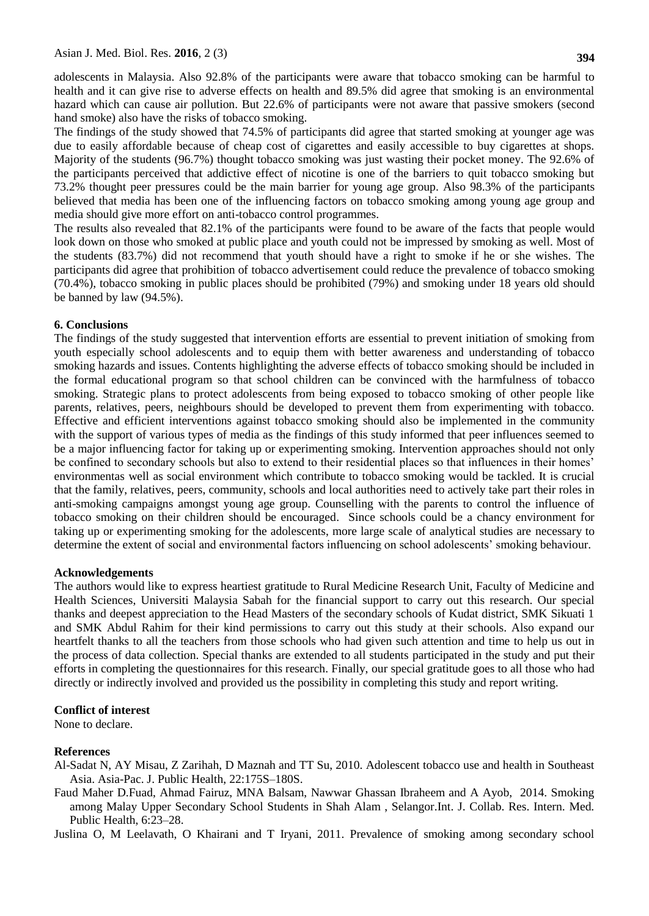adolescents in Malaysia. Also 92.8% of the participants were aware that tobacco smoking can be harmful to health and it can give rise to adverse effects on health and 89.5% did agree that smoking is an environmental hazard which can cause air pollution. But 22.6% of participants were not aware that passive smokers (second hand smoke) also have the risks of tobacco smoking.

The findings of the study showed that 74.5% of participants did agree that started smoking at younger age was due to easily affordable because of cheap cost of cigarettes and easily accessible to buy cigarettes at shops. Majority of the students (96.7%) thought tobacco smoking was just wasting their pocket money. The 92.6% of the participants perceived that addictive effect of nicotine is one of the barriers to quit tobacco smoking but 73.2% thought peer pressures could be the main barrier for young age group. Also 98.3% of the participants believed that media has been one of the influencing factors on tobacco smoking among young age group and media should give more effort on anti-tobacco control programmes.

The results also revealed that 82.1% of the participants were found to be aware of the facts that people would look down on those who smoked at public place and youth could not be impressed by smoking as well. Most of the students (83.7%) did not recommend that youth should have a right to smoke if he or she wishes. The participants did agree that prohibition of tobacco advertisement could reduce the prevalence of tobacco smoking (70.4%), tobacco smoking in public places should be prohibited (79%) and smoking under 18 years old should be banned by law (94.5%).

### **6. Conclusions**

The findings of the study suggested that intervention efforts are essential to prevent initiation of smoking from youth especially school adolescents and to equip them with better awareness and understanding of tobacco smoking hazards and issues. Contents highlighting the adverse effects of tobacco smoking should be included in the formal educational program so that school children can be convinced with the harmfulness of tobacco smoking. Strategic plans to protect adolescents from being exposed to tobacco smoking of other people like parents, relatives, peers, neighbours should be developed to prevent them from experimenting with tobacco. Effective and efficient interventions against tobacco smoking should also be implemented in the community with the support of various types of media as the findings of this study informed that peer influences seemed to be a major influencing factor for taking up or experimenting smoking. Intervention approaches should not only be confined to secondary schools but also to extend to their residential places so that influences in their homes' environmentas well as social environment which contribute to tobacco smoking would be tackled. It is crucial that the family, relatives, peers, community, schools and local authorities need to actively take part their roles in anti-smoking campaigns amongst young age group. Counselling with the parents to control the influence of tobacco smoking on their children should be encouraged. Since schools could be a chancy environment for taking up or experimenting smoking for the adolescents, more large scale of analytical studies are necessary to determine the extent of social and environmental factors influencing on school adolescents' smoking behaviour.

### **Acknowledgements**

The authors would like to express heartiest gratitude to Rural Medicine Research Unit, Faculty of Medicine and Health Sciences, Universiti Malaysia Sabah for the financial support to carry out this research. Our special thanks and deepest appreciation to the Head Masters of the secondary schools of Kudat district, SMK Sikuati 1 and SMK Abdul Rahim for their kind permissions to carry out this study at their schools. Also expand our heartfelt thanks to all the teachers from those schools who had given such attention and time to help us out in the process of data collection. Special thanks are extended to all students participated in the study and put their efforts in completing the questionnaires for this research. Finally, our special gratitude goes to all those who had directly or indirectly involved and provided us the possibility in completing this study and report writing.

### **Conflict of interest**

None to declare.

### **References**

Al-Sadat N, AY Misau, Z Zarihah, D Maznah and TT Su, 2010. Adolescent tobacco use and health in Southeast Asia. Asia-Pac. J. Public Health, 22:175S–180S.

Faud Maher D.Fuad, Ahmad Fairuz, MNA Balsam, Nawwar Ghassan Ibraheem and A Ayob, 2014. Smoking among Malay Upper Secondary School Students in Shah Alam , Selangor.Int. J. Collab. Res. Intern. Med. Public Health, 6:23–28.

Juslina O, M Leelavath, O Khairani and T Iryani, 2011. Prevalence of smoking among secondary school